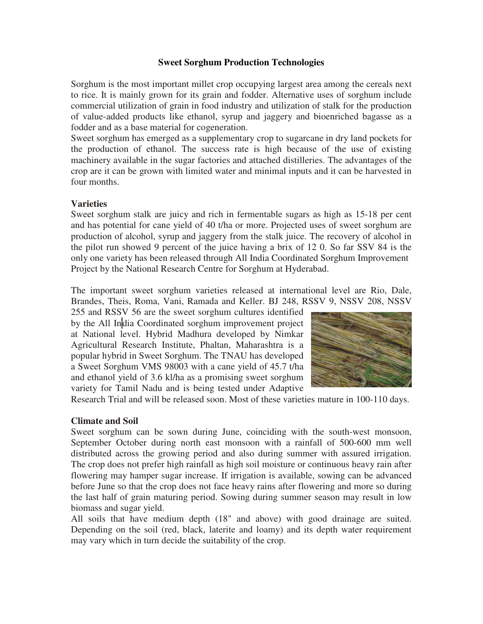#### **Sweet Sorghum Production Technologies**

Sorghum is the most important millet crop occupying largest area among the cereals next to rice. It is mainly grown for its grain and fodder. Alternative uses of sorghum include commercial utilization of grain in food industry and utilization of stalk for the production of value-added products like ethanol, syrup and jaggery and bioenriched bagasse as a fodder and as a base material for cogeneration.

Sweet sorghum has emerged as a supplementary crop to sugarcane in dry land pockets for the production of ethanol. The success rate is high because of the use of existing machinery available in the sugar factories and attached distilleries. The advantages of the crop are it can be grown with limited water and minimal inputs and it can be harvested in four months.

#### **Varieties**

Sweet sorghum stalk are juicy and rich in fermentable sugars as high as 15-18 per cent and has potential for cane yield of 40 t/ha or more. Projected uses of sweet sorghum are production of alcohol, syrup and jaggery from the stalk juice. The recovery of alcohol in the pilot run showed 9 percent of the juice having a brix of 12 0. So far SSV 84 is the only one variety has been released through All India Coordinated Sorghum Improvement Project by the National Research Centre for Sorghum at Hyderabad.

The important sweet sorghum varieties released at international level are Rio, Dale, Brandes, Theis, Roma, Vani, Ramada and Keller. BJ 248, RSSV 9, NSSV 208, NSSV

255 and RSSV 56 are the sweet sorghum cultures identified by the All India Coordinated sorghum improvement project at National level. Hybrid Madhura developed by Nimkar Agricultural Research Institute, Phaltan, Maharashtra is a popular hybrid in Sweet Sorghum. The TNAU has developed a Sweet Sorghum VMS 98003 with a cane yield of 45.7 t/ha and ethanol yield of 3.6 kl/ha as a promising sweet sorghum variety for Tamil Nadu and is being tested under Adaptive



Research Trial and will be released soon. Most of these varieties mature in 100-110 days.

#### **Climate and Soil**

Sweet sorghum can be sown during June, coinciding with the south-west monsoon, September October during north east monsoon with a rainfall of 500-600 mm well distributed across the growing period and also during summer with assured irrigation. The crop does not prefer high rainfall as high soil moisture or continuous heavy rain after flowering may hamper sugar increase. If irrigation is available, sowing can be advanced before June so that the crop does not face heavy rains after flowering and more so during the last half of grain maturing period. Sowing during summer season may result in low biomass and sugar yield.

All soils that have medium depth (18" and above) with good drainage are suited. Depending on the soil (red, black, laterite and loamy) and its depth water requirement may vary which in turn decide the suitability of the crop.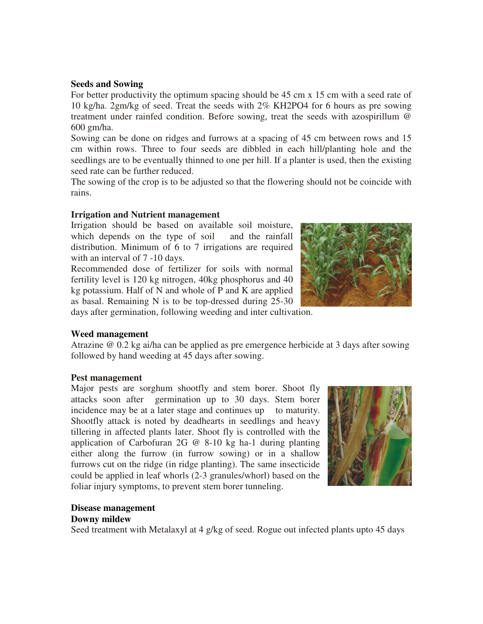#### **Seeds and Sowing**

For better productivity the optimum spacing should be 45 cm x 15 cm with a seed rate of 10 kg/ha. 2gm/kg of seed. Treat the seeds with 2% KH2PO4 for 6 hours as pre sowing treatment under rainfed condition. Before sowing, treat the seeds with azospirillum @ 600 gm/ha.

Sowing can be done on ridges and furrows at a spacing of 45 cm between rows and 15 cm within rows. Three to four seeds are dibbled in each hill/planting hole and the seedlings are to be eventually thinned to one per hill. If a planter is used, then the existing seed rate can be further reduced.

The sowing of the crop is to be adjusted so that the flowering should not be coincide with rains.

#### **Irrigation and Nutrient management**

Irrigation should be based on available soil moisture, which depends on the type of soil and the rainfall distribution. Minimum of 6 to 7 irrigations are required with an interval of  $7 - 10$  days.

Recommended dose of fertilizer for soils with normal fertility level is 120 kg nitrogen, 40kg phosphorus and 40 kg potassium. Half of N and whole of P and K are applied as basal. Remaining N is to be top-dressed during 25-30



days after germination, following weeding and inter cultivation.

#### **Weed management**

Atrazine @ 0.2 kg ai/ha can be applied as pre emergence herbicide at 3 days after sowing followed by hand weeding at 45 days after sowing.

#### **Pest management**

Major pests are sorghum shootfly and stem borer. Shoot fly attacks soon after germination up to 30 days. Stem borer incidence may be at a later stage and continues up to maturity. Shootfly attack is noted by deadhearts in seedlings and heavy tillering in affected plants later. Shoot fly is controlled with the application of Carbofuran 2G @ 8-10 kg ha-1 during planting either along the furrow (in furrow sowing) or in a shallow furrows cut on the ridge (in ridge planting). The same insecticide could be applied in leaf whorls (2-3 granules/whorl) based on the foliar injury symptoms, to prevent stem borer tunneling.



# **Disease management**

#### **Downy mildew**

Seed treatment with Metalaxyl at 4 g/kg of seed. Rogue out infected plants upto 45 days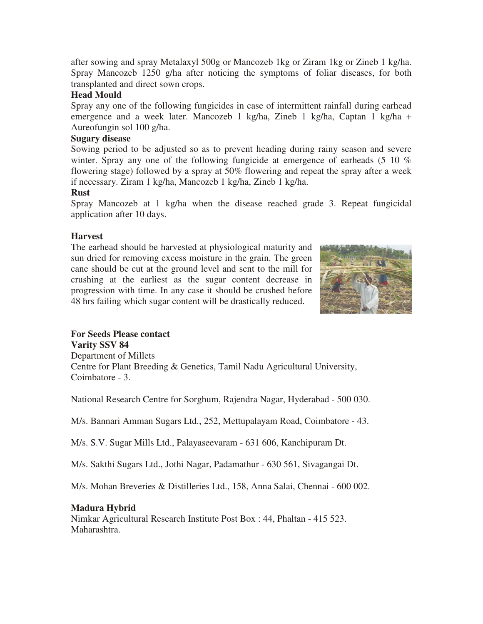after sowing and spray Metalaxyl 500g or Mancozeb 1kg or Ziram 1kg or Zineb 1 kg/ha. Spray Mancozeb 1250 g/ha after noticing the symptoms of foliar diseases, for both transplanted and direct sown crops.

### **Head Mould**

Spray any one of the following fungicides in case of intermittent rainfall during earhead emergence and a week later. Mancozeb 1 kg/ha, Zineb 1 kg/ha, Captan 1 kg/ha + Aureofungin sol 100 g/ha.

## **Sugary disease**

Sowing period to be adjusted so as to prevent heading during rainy season and severe winter. Spray any one of the following fungicide at emergence of earheads (5 10 %) flowering stage) followed by a spray at 50% flowering and repeat the spray after a week if necessary. Ziram 1 kg/ha, Mancozeb 1 kg/ha, Zineb 1 kg/ha.

#### **Rust**

Spray Mancozeb at 1 kg/ha when the disease reached grade 3. Repeat fungicidal application after 10 days.

## **Harvest**

The earhead should be harvested at physiological maturity and sun dried for removing excess moisture in the grain. The green cane should be cut at the ground level and sent to the mill for crushing at the earliest as the sugar content decrease in progression with time. In any case it should be crushed before 48 hrs failing which sugar content will be drastically reduced.



# **For Seeds Please contact**

**Varity SSV 84** Department of Millets Centre for Plant Breeding & Genetics, Tamil Nadu Agricultural University, Coimbatore - 3.

National Research Centre for Sorghum, Rajendra Nagar, Hyderabad - 500 030.

M/s. Bannari Amman Sugars Ltd., 252, Mettupalayam Road, Coimbatore - 43.

M/s. S.V. Sugar Mills Ltd., Palayaseevaram - 631 606, Kanchipuram Dt.

M/s. Sakthi Sugars Ltd., Jothi Nagar, Padamathur - 630 561, Sivagangai Dt.

M/s. Mohan Breveries & Distilleries Ltd., 158, Anna Salai, Chennai - 600 002.

# **Madura Hybrid**

Nimkar Agricultural Research Institute Post Box : 44, Phaltan - 415 523. Maharashtra.